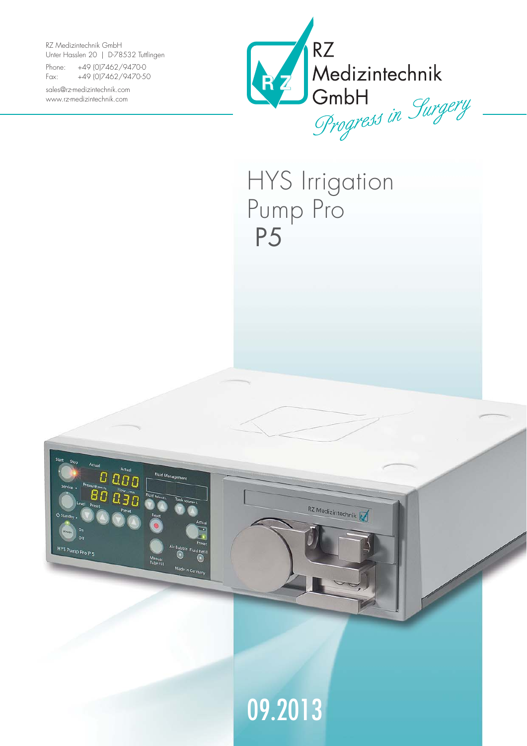RZ Medizintechnik GmbH Unter Hasslen 20 | D-78532 Tuttlingen

ם הם ם

HYS Pump Pro P 5

Fluid Managemen

Made in Gr

Phone: +49 (0)7462/9470-0 Fax: +49 (0)7462/9470-50

sales@rz-medizintechnik.com www.rz-medizintechnik.com



HYS Irrigation Pump Pro P5

RZ Medizintechnik

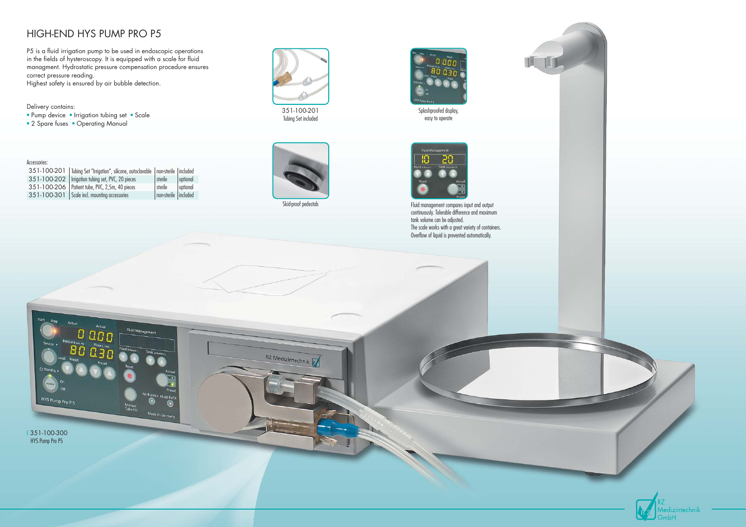





Fluid management compares input and output continuously. Tolerable difference and maximum The scale works with a great variety of containers. Overflow of liquid is prevented automatically.

- 
- 



Tubing Set included